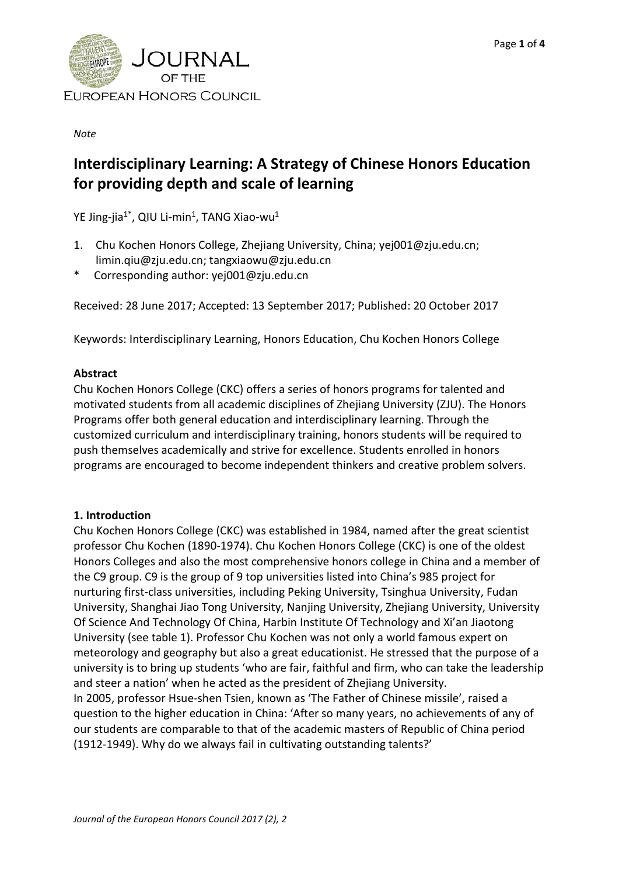

*Note*

# **Interdisciplinary Learning: A Strategy of Chinese Honors Education for providing depth and scale of learning**

YE Jing-jia<sup>1\*</sup>, QIU Li-min<sup>1</sup>, TANG Xiao-wu<sup>1</sup>

- 1. Chu Kochen Honors College, Zhejiang University, China; yej001@zju.edu.cn; limin.qiu@zju.edu.cn; tangxiaowu@zju.edu.cn
- \* Corresponding author: yej001@zju.edu.cn

Received: 28 June 2017; Accepted: 13 September 2017; Published: 20 October 2017

Keywords: Interdisciplinary Learning, Honors Education, Chu Kochen Honors College

## **Abstract**

Chu Kochen Honors College (CKC) offers a series of honors programs for talented and motivated students from all academic disciplines of Zhejiang University (ZJU). The Honors Programs offer both general education and interdisciplinary learning. Through the customized curriculum and interdisciplinary training, honors students will be required to push themselves academically and strive for excellence. Students enrolled in honors programs are encouraged to become independent thinkers and creative problem solvers.

## **1. Introduction**

Chu Kochen Honors College (CKC) was established in 1984, named after the great scientist professor Chu Kochen (1890-1974). Chu Kochen Honors College (CKC) is one of the oldest Honors Colleges and also the most comprehensive honors college in China and a member of the C9 group. C9 is the group of 9 top universities listed into China's 985 project for nurturing first-class universities, including Peking University, Tsinghua University, Fudan University, Shanghai Jiao Tong University, Nanjing University, Zhejiang University, University Of Science And Technology Of China, Harbin Institute Of Technology and Xi'an Jiaotong University (see table 1). Professor Chu Kochen was not only a world famous expert on meteorology and geography but also a great educationist. He stressed that the purpose of a university is to bring up students 'who are fair, faithful and firm, who can take the leadership and steer a nation' when he acted as the president of Zhejiang University. In 2005, professor Hsue-shen Tsien, known as 'The Father of Chinese missile', raised a question to the higher education in China: 'After so many years, no achievements of any of our students are comparable to that of the academic masters of Republic of China period (1912-1949). Why do we always fail in cultivating outstanding talents?'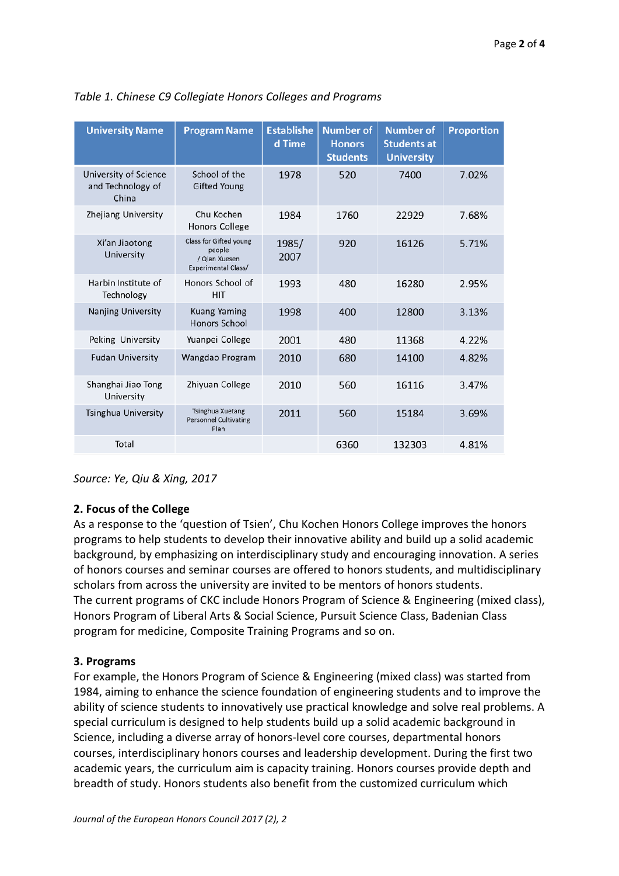| <b>University Name</b>                              | <b>Program Name</b>                                                      | <b>Establishe</b><br>d Time | <b>Number of</b><br><b>Honors</b><br><b>Students</b> | <b>Number of</b><br><b>Students at</b><br><b>University</b> | <b>Proportion</b> |
|-----------------------------------------------------|--------------------------------------------------------------------------|-----------------------------|------------------------------------------------------|-------------------------------------------------------------|-------------------|
| University of Science<br>and Technology of<br>China | School of the<br><b>Gifted Young</b>                                     | 1978                        | 520                                                  | 7400                                                        | 7.02%             |
| Zhejiang University                                 | Chu Kochen<br><b>Honors College</b>                                      | 1984                        | 1760                                                 | 22929                                                       | 7.68%             |
| Xi'an Jiaotong<br>University                        | Class for Gifted young<br>people<br>/ Qian Xuesen<br>Experimental Class/ | 1985/<br>2007               | 920                                                  | 16126                                                       | 5.71%             |
| Harbin Institute of<br>Technology                   | Honors School of<br><b>HIT</b>                                           | 1993                        | 480                                                  | 16280                                                       | 2.95%             |
| Nanjing University                                  | <b>Kuang Yaming</b><br><b>Honors School</b>                              | 1998                        | 400                                                  | 12800                                                       | 3.13%             |
| Peking University                                   | Yuanpei College                                                          | 2001                        | 480                                                  | 11368                                                       | 4.22%             |
| <b>Fudan University</b>                             | Wangdao Program                                                          | 2010                        | 680                                                  | 14100                                                       | 4.82%             |
| Shanghai Jiao Tong<br>University                    | Zhiyuan College                                                          | 2010                        | 560                                                  | 16116                                                       | 3.47%             |
| <b>Tsinghua University</b>                          | <b>Tsinghua Xuetang</b><br><b>Personnel Cultivating</b><br>Plan          | 2011                        | 560                                                  | 15184                                                       | 3.69%             |
| Total                                               |                                                                          |                             | 6360                                                 | 132303                                                      | 4.81%             |

*Table 1. Chinese C9 Collegiate Honors Colleges and Programs*

*Source: Ye, Qiu & Xing, 2017*

## **2. Focus of the College**

As a response to the 'question of Tsien', Chu Kochen Honors College improves the honors programs to help students to develop their innovative ability and build up a solid academic background, by emphasizing on interdisciplinary study and encouraging innovation. A series of honors courses and seminar courses are offered to honors students, and multidisciplinary scholars from across the university are invited to be mentors of honors students. The current programs of CKC include Honors Program of Science & Engineering (mixed class), Honors Program of Liberal Arts & Social Science, Pursuit Science Class, Badenian Class program for medicine, Composite Training Programs and so on.

## **3. Programs**

For example, the Honors Program of Science & Engineering (mixed class) was started from 1984, aiming to enhance the science foundation of engineering students and to improve the ability of science students to innovatively use practical knowledge and solve real problems. A special curriculum is designed to help students build up a solid academic background in Science, including a diverse array of honors-level core courses, departmental honors courses, interdisciplinary honors courses and leadership development. During the first two academic years, the curriculum aim is capacity training. Honors courses provide depth and breadth of study. Honors students also benefit from the customized curriculum which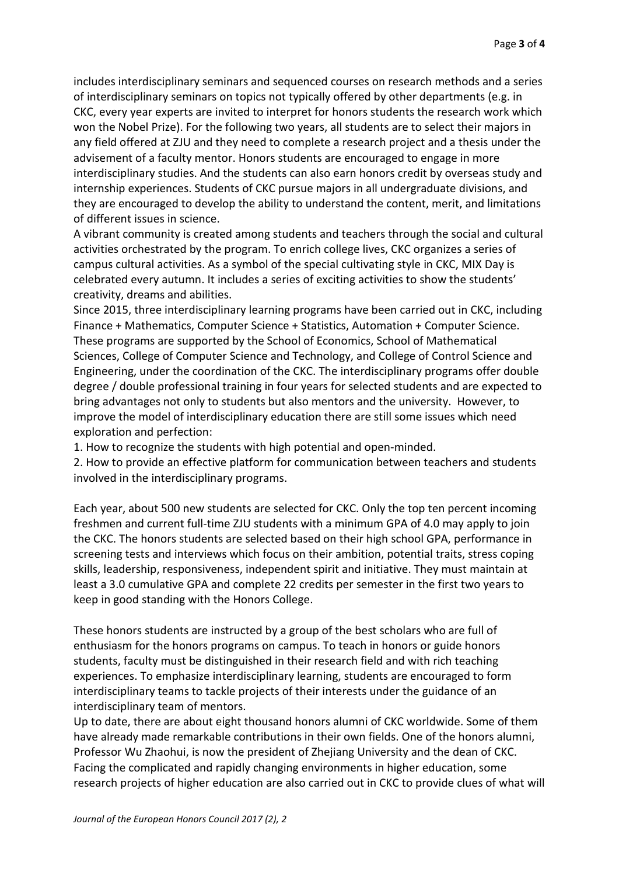includes interdisciplinary seminars and sequenced courses on research methods and a series of interdisciplinary seminars on topics not typically offered by other departments (e.g. in CKC, every year experts are invited to interpret for honors students the research work which won the Nobel Prize). For the following two years, all students are to select their majors in any field offered at ZJU and they need to complete a research project and a thesis under the advisement of a faculty mentor. Honors students are encouraged to engage in more interdisciplinary studies. And the students can also earn honors credit by overseas study and internship experiences. Students of CKC pursue majors in all undergraduate divisions, and they are encouraged to develop the ability to understand the content, merit, and limitations of different issues in science.

A vibrant community is created among students and teachers through the social and cultural activities orchestrated by the program. To enrich college lives, CKC organizes a series of campus cultural activities. As a symbol of the special cultivating style in CKC, MIX Day is celebrated every autumn. It includes a series of exciting activities to show the students' creativity, dreams and abilities.

Since 2015, three interdisciplinary learning programs have been carried out in CKC, including Finance + Mathematics, Computer Science + Statistics, Automation + Computer Science. These programs are supported by the School of Economics, School of Mathematical Sciences, College of Computer Science and Technology, and College of Control Science and Engineering, under the coordination of the CKC. The interdisciplinary programs offer double degree / double professional training in four years for selected students and are expected to bring advantages not only to students but also mentors and the university. However, to improve the model of interdisciplinary education there are still some issues which need exploration and perfection:

1. How to recognize the students with high potential and open-minded.

2. How to provide an effective platform for communication between teachers and students involved in the interdisciplinary programs.

Each year, about 500 new students are selected for CKC. Only the top ten percent incoming freshmen and current full-time ZJU students with a minimum GPA of 4.0 may apply to join the CKC. The honors students are selected based on their high school GPA, performance in screening tests and interviews which focus on their ambition, potential traits, stress coping skills, leadership, responsiveness, independent spirit and initiative. They must maintain at least a 3.0 cumulative GPA and complete 22 credits per semester in the first two years to keep in good standing with the Honors College.

These honors students are instructed by a group of the best scholars who are full of enthusiasm for the honors programs on campus. To teach in honors or guide honors students, faculty must be distinguished in their research field and with rich teaching experiences. To emphasize interdisciplinary learning, students are encouraged to form interdisciplinary teams to tackle projects of their interests under the guidance of an interdisciplinary team of mentors.

Up to date, there are about eight thousand honors alumni of CKC worldwide. Some of them have already made remarkable contributions in their own fields. One of the honors alumni, Professor Wu Zhaohui, is now the president of Zhejiang University and the dean of CKC. Facing the complicated and rapidly changing environments in higher education, some research projects of higher education are also carried out in CKC to provide clues of what will